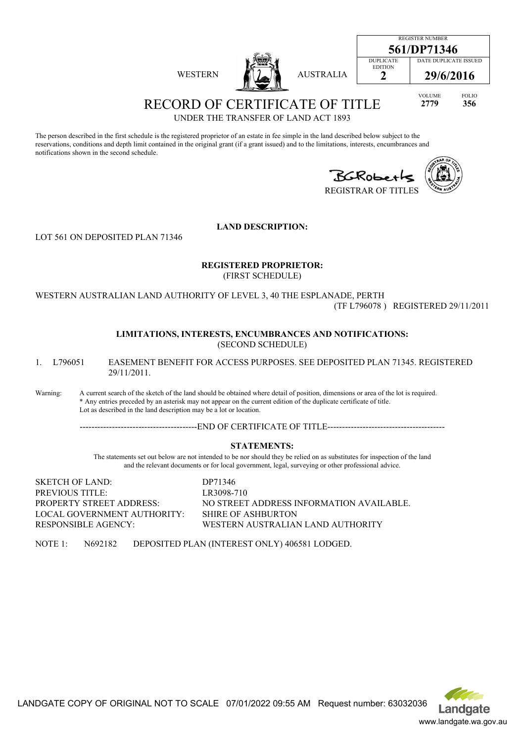| 13.<br>ГE.<br>œ. |
|------------------|
|------------------|





**2 29/6/2016**

VOLUME FOLIO **2779 356**

RECORD OF CERTIFICATE OF TITLE UNDER THE TRANSFER OF LAND ACT 1893

The person described in the first schedule is the registered proprietor of an estate in fee simple in the land described below subject to the reservations, conditions and depth limit contained in the original grant (if a grant issued) and to the limitations, interests, encumbrances and notifications shown in the second schedule.

BGROBerk

EDITION



REGISTRAR OF TITLES

**LAND DESCRIPTION:**

LOT 561 ON DEPOSITED PLAN 71346

#### **REGISTERED PROPRIETOR:** (FIRST SCHEDULE)

WESTERN AUSTRALIAN LAND AUTHORITY OF LEVEL 3, 40 THE ESPLANADE, PERTH (TF L796078 ) REGISTERED 29/11/2011

#### **LIMITATIONS, INTERESTS, ENCUMBRANCES AND NOTIFICATIONS:** (SECOND SCHEDULE)

1. L796051 EASEMENT BENEFIT FOR ACCESS PURPOSES. SEE DEPOSITED PLAN 71345. REGISTERED 29/11/2011.

Warning: A current search of the sketch of the land should be obtained where detail of position, dimensions or area of the lot is required. \* Any entries preceded by an asterisk may not appear on the current edition of the duplicate certificate of title. Lot as described in the land description may be a lot or location.

----------------------------------------END OF CERTIFICATE OF TITLE----------------------------------------

### **STATEMENTS:**

The statements set out below are not intended to be nor should they be relied on as substitutes for inspection of the land and the relevant documents or for local government, legal, surveying or other professional advice.

SKETCH OF LAND: DP71346 PREVIOUS TITLE: LR3098-710 LOCAL GOVERNMENT AUTHORITY: SHIRE OF ASHBURTON

PROPERTY STREET ADDRESS: NO STREET ADDRESS INFORMATION AVAILABLE. RESPONSIBLE AGENCY: WESTERN AUSTRALIAN LAND AUTHORITY

NOTE 1: N692182 DEPOSITED PLAN (INTEREST ONLY) 406581 LODGED.

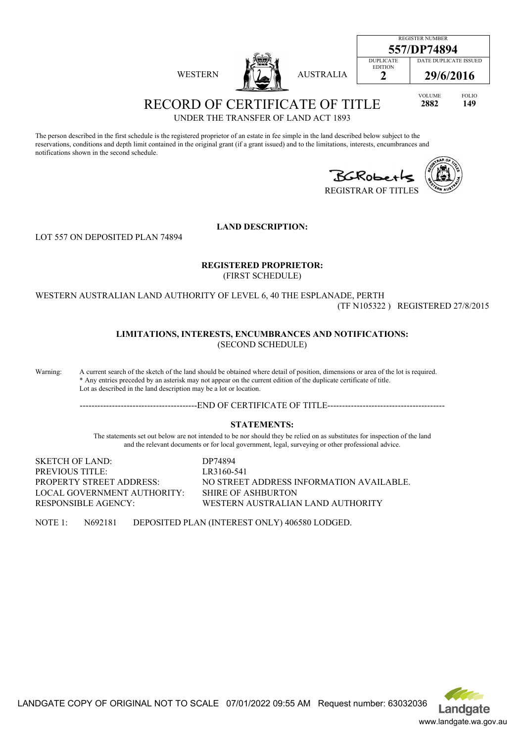|                |                  |                                                     | <b>REGISTER NUMBER</b><br>557/DP74894 |                     |
|----------------|------------------|-----------------------------------------------------|---------------------------------------|---------------------|
| <b>WESTERN</b> | <b>AUSTRALIA</b> | <b>DUPLICATE</b><br><b>EDITION</b><br>$\rightarrow$ | DATE DUPLICATE ISSUED<br>29/6/2016    |                     |
|                |                  |                                                     | <b>VOLUME</b><br>2882                 | <b>FOLIO</b><br>149 |

UNDER THE TRANSFER OF LAND ACT 1893

The person described in the first schedule is the registered proprietor of an estate in fee simple in the land described below subject to the reservations, conditions and depth limit contained in the original grant (if a grant issued) and to the limitations, interests, encumbrances and notifications shown in the second schedule.

BGROBerk REGISTRAR OF TITLES



**LAND DESCRIPTION:**

LOT 557 ON DEPOSITED PLAN 74894

#### **REGISTERED PROPRIETOR:** (FIRST SCHEDULE)

WESTERN AUSTRALIAN LAND AUTHORITY OF LEVEL 6, 40 THE ESPLANADE, PERTH (TF N105322 ) REGISTERED 27/8/2015

### **LIMITATIONS, INTERESTS, ENCUMBRANCES AND NOTIFICATIONS:** (SECOND SCHEDULE)

Warning: A current search of the sketch of the land should be obtained where detail of position, dimensions or area of the lot is required. \* Any entries preceded by an asterisk may not appear on the current edition of the duplicate certificate of title. Lot as described in the land description may be a lot or location.

--------------------END OF CERTIFICATE OF TITLE---------------------------

### **STATEMENTS:**

The statements set out below are not intended to be nor should they be relied on as substitutes for inspection of the land and the relevant documents or for local government, legal, surveying or other professional advice.

SKETCH OF LAND: DP74894 PREVIOUS TITLE: LR3160-541 LOCAL GOVERNMENT AUTHORITY: SHIRE OF ASHBURTON

PROPERTY STREET ADDRESS: NO STREET ADDRESS INFORMATION AVAILABLE. RESPONSIBLE AGENCY: WESTERN AUSTRALIAN LAND AUTHORITY

NOTE 1: N692181 DEPOSITED PLAN (INTEREST ONLY) 406580 LODGED.

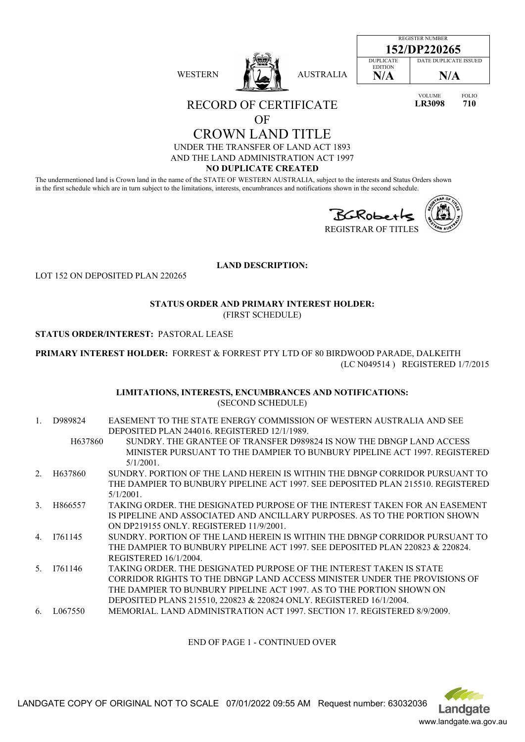| <b>WESTERN</b> |  | <b>AUSTRALIA</b> |
|----------------|--|------------------|
|----------------|--|------------------|

| REGISTER NUMBER  |                       |  |
|------------------|-----------------------|--|
| 152/DP220265     |                       |  |
| <b>DUPLICATE</b> | DATE DUPLICATE ISSUED |  |
| <b>EDITION</b>   |                       |  |
| N/A              | N/A                   |  |
|                  |                       |  |

VOLUME FOLIO **LR3098 710**

RECORD OF CERTIFICATE

# OF

CROWN LAND TITLE UNDER THE TRANSFER OF LAND ACT 1893 AND THE LAND ADMINISTRATION ACT 1997

### **NO DUPLICATE CREATED**

The undermentioned land is Crown land in the name of the STATE OF WESTERN AUSTRALIA, subject to the interests and Status Orders shown in the first schedule which are in turn subject to the limitations, interests, encumbrances and notifications shown in the second schedule.



**LAND DESCRIPTION:**

LOT 152 ON DEPOSITED PLAN 220265

#### **STATUS ORDER AND PRIMARY INTEREST HOLDER:** (FIRST SCHEDULE)

### **STATUS ORDER/INTEREST:** PASTORAL LEASE

**PRIMARY INTEREST HOLDER:** FORREST & FORREST PTY LTD OF 80 BIRDWOOD PARADE, DALKEITH (LC N049514 ) REGISTERED 1/7/2015

#### **LIMITATIONS, INTERESTS, ENCUMBRANCES AND NOTIFICATIONS:** (SECOND SCHEDULE)

1. D989824 EASEMENT TO THE STATE ENERGY COMMISSION OF WESTERN AUSTRALIA AND SEE DEPOSITED PLAN 244016. REGISTERED 12/1/1989. H637860 SUNDRY. THE GRANTEE OF TRANSFER D989824 IS NOW THE DBNGP LAND ACCESS MINISTER PURSUANT TO THE DAMPIER TO BUNBURY PIPELINE ACT 1997. REGISTERED 5/1/2001. 2. H637860 SUNDRY. PORTION OF THE LAND HEREIN IS WITHIN THE DBNGP CORRIDOR PURSUANT TO THE DAMPIER TO BUNBURY PIPELINE ACT 1997. SEE DEPOSITED PLAN 215510. REGISTERED 5/1/2001. 3. H866557 TAKING ORDER. THE DESIGNATED PURPOSE OF THE INTEREST TAKEN FOR AN EASEMENT IS PIPELINE AND ASSOCIATED AND ANCILLARY PURPOSES. AS TO THE PORTION SHOWN ON DP219155 ONLY. REGISTERED 11/9/2001. 4. I761145 SUNDRY. PORTION OF THE LAND HEREIN IS WITHIN THE DBNGP CORRIDOR PURSUANT TO THE DAMPIER TO BUNBURY PIPELINE ACT 1997. SEE DEPOSITED PLAN 220823 & 220824. REGISTERED 16/1/2004. 5. I761146 TAKING ORDER. THE DESIGNATED PURPOSE OF THE INTEREST TAKEN IS STATE CORRIDOR RIGHTS TO THE DBNGP LAND ACCESS MINISTER UNDER THE PROVISIONS OF THE DAMPIER TO BUNBURY PIPELINE ACT 1997. AS TO THE PORTION SHOWN ON DEPOSITED PLANS 215510, 220823 & 220824 ONLY. REGISTERED 16/1/2004. 6. L067550 MEMORIAL. LAND ADMINISTRATION ACT 1997. SECTION 17. REGISTERED 8/9/2009.

END OF PAGE 1 - CONTINUED OVER



LANDGATE COPY OF ORIGINAL NOT TO SCALE 07/01/2022 09:55 AM Request number: 63032036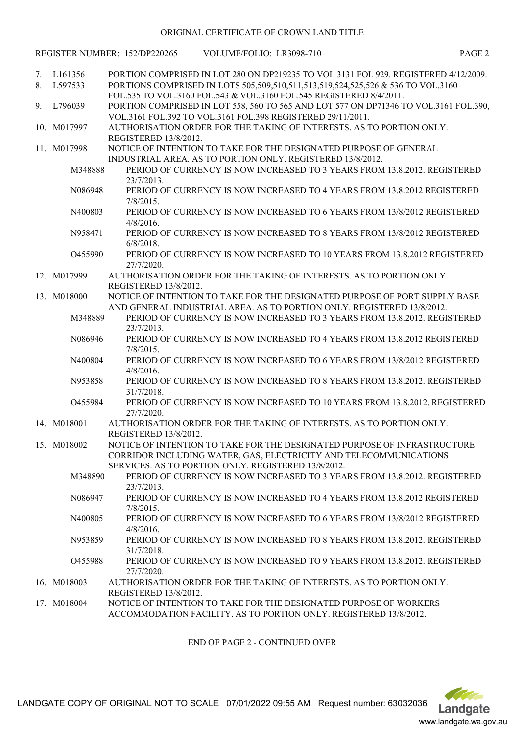#### ORIGINAL CERTIFICATE OF CROWN LAND TITLE

|          |                    | REGISTER NUMBER: 152/DP220265<br>VOLUME/FOLIO: LR3098-710                                                                                                                                                                                      | PAGE <sub>2</sub> |
|----------|--------------------|------------------------------------------------------------------------------------------------------------------------------------------------------------------------------------------------------------------------------------------------|-------------------|
| 7.<br>8. | L161356<br>L597533 | PORTION COMPRISED IN LOT 280 ON DP219235 TO VOL 3131 FOL 929. REGISTERED 4/12/2009.<br>PORTIONS COMPRISED IN LOTS 505,509,510,511,513,519,524,525,526 & 536 TO VOL.3160<br>FOL.535 TO VOL.3160 FOL.543 & VOL.3160 FOL.545 REGISTERED 8/4/2011. |                   |
| 9.       | L796039            | PORTION COMPRISED IN LOT 558, 560 TO 565 AND LOT 577 ON DP71346 TO VOL.3161 FOL.390,<br>VOL.3161 FOL.392 TO VOL.3161 FOL.398 REGISTERED 29/11/2011.                                                                                            |                   |
|          | 10. M017997        | AUTHORISATION ORDER FOR THE TAKING OF INTERESTS. AS TO PORTION ONLY.<br>REGISTERED 13/8/2012.                                                                                                                                                  |                   |
|          | 11. M017998        | NOTICE OF INTENTION TO TAKE FOR THE DESIGNATED PURPOSE OF GENERAL<br>INDUSTRIAL AREA, AS TO PORTION ONLY, REGISTERED 13/8/2012.                                                                                                                |                   |
|          | M348888            | PERIOD OF CURRENCY IS NOW INCREASED TO 3 YEARS FROM 13.8.2012. REGISTERED<br>23/7/2013.                                                                                                                                                        |                   |
|          | N086948            | PERIOD OF CURRENCY IS NOW INCREASED TO 4 YEARS FROM 13.8.2012 REGISTERED<br>$7/8/2015$ .                                                                                                                                                       |                   |
|          | N400803            | PERIOD OF CURRENCY IS NOW INCREASED TO 6 YEARS FROM 13/8/2012 REGISTERED<br>$4/8/2016$ .                                                                                                                                                       |                   |
|          | N958471<br>O455990 | PERIOD OF CURRENCY IS NOW INCREASED TO 8 YEARS FROM 13/8/2012 REGISTERED<br>$6/8/2018$ .<br>PERIOD OF CURRENCY IS NOW INCREASED TO 10 YEARS FROM 13.8.2012 REGISTERED                                                                          |                   |
|          | 12. M017999        | 27/7/2020.<br>AUTHORISATION ORDER FOR THE TAKING OF INTERESTS. AS TO PORTION ONLY.                                                                                                                                                             |                   |
|          | 13. M018000        | REGISTERED 13/8/2012.<br>NOTICE OF INTENTION TO TAKE FOR THE DESIGNATED PURPOSE OF PORT SUPPLY BASE                                                                                                                                            |                   |
|          | M348889            | AND GENERAL INDUSTRIAL AREA. AS TO PORTION ONLY. REGISTERED 13/8/2012.<br>PERIOD OF CURRENCY IS NOW INCREASED TO 3 YEARS FROM 13.8.2012. REGISTERED                                                                                            |                   |
|          | N086946            | 23/7/2013.<br>PERIOD OF CURRENCY IS NOW INCREASED TO 4 YEARS FROM 13.8.2012 REGISTERED                                                                                                                                                         |                   |
|          | N400804            | $7/8/2015$ .<br>PERIOD OF CURRENCY IS NOW INCREASED TO 6 YEARS FROM 13/8/2012 REGISTERED                                                                                                                                                       |                   |
|          | N953858            | $4/8/2016$ .<br>PERIOD OF CURRENCY IS NOW INCREASED TO 8 YEARS FROM 13.8.2012. REGISTERED                                                                                                                                                      |                   |
|          | O455984            | 31/7/2018.<br>PERIOD OF CURRENCY IS NOW INCREASED TO 10 YEARS FROM 13.8.2012. REGISTERED<br>27/7/2020.                                                                                                                                         |                   |
|          | 14. M018001        | AUTHORISATION ORDER FOR THE TAKING OF INTERESTS. AS TO PORTION ONLY.<br>REGISTERED 13/8/2012.                                                                                                                                                  |                   |
|          | 15. M018002        | NOTICE OF INTENTION TO TAKE FOR THE DESIGNATED PURPOSE OF INFRASTRUCTURE<br>CORRIDOR INCLUDING WATER, GAS, ELECTRICITY AND TELECOMMUNICATIONS                                                                                                  |                   |
|          | M348890            | SERVICES. AS TO PORTION ONLY. REGISTERED 13/8/2012.<br>PERIOD OF CURRENCY IS NOW INCREASED TO 3 YEARS FROM 13.8.2012. REGISTERED<br>23/7/2013.                                                                                                 |                   |
|          | N086947            | PERIOD OF CURRENCY IS NOW INCREASED TO 4 YEARS FROM 13.8.2012 REGISTERED<br>$7/8/2015$ .                                                                                                                                                       |                   |
|          | N400805            | PERIOD OF CURRENCY IS NOW INCREASED TO 6 YEARS FROM 13/8/2012 REGISTERED<br>$4/8/2016$ .                                                                                                                                                       |                   |
|          | N953859            | PERIOD OF CURRENCY IS NOW INCREASED TO 8 YEARS FROM 13.8.2012. REGISTERED<br>31/7/2018.                                                                                                                                                        |                   |
|          | O455988            | PERIOD OF CURRENCY IS NOW INCREASED TO 9 YEARS FROM 13.8.2012. REGISTERED<br>27/7/2020.                                                                                                                                                        |                   |
|          | 16. M018003        | AUTHORISATION ORDER FOR THE TAKING OF INTERESTS. AS TO PORTION ONLY.<br>REGISTERED 13/8/2012.                                                                                                                                                  |                   |
|          | 17. M018004        | NOTICE OF INTENTION TO TAKE FOR THE DESIGNATED PURPOSE OF WORKERS<br>ACCOMMODATION FACILITY. AS TO PORTION ONLY. REGISTERED 13/8/2012.                                                                                                         |                   |

### END OF PAGE 2 - CONTINUED OVER

LANDGATE COPY OF ORIGINAL NOT TO SCALE 07/01/2022 09:55 AM Request number: 63032036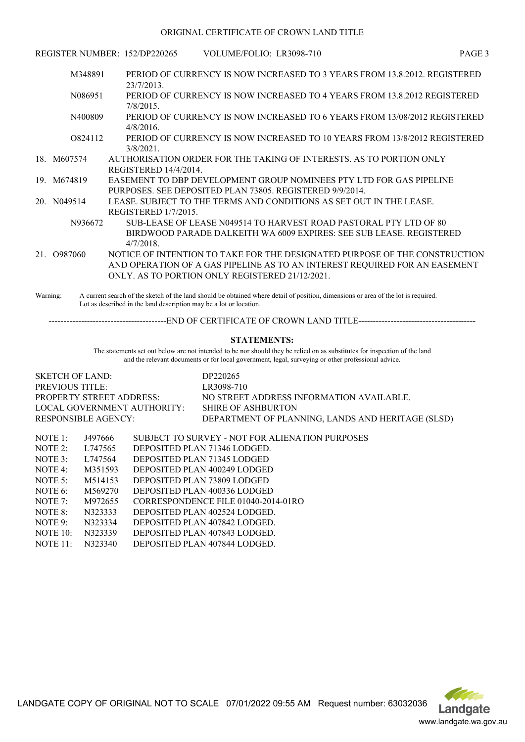#### ORIGINAL CERTIFICATE OF CROWN LAND TITLE

|    |             | REGISTER NUMBER: 152/DP220265                   | VOLUME/FOLIO: LR3098-710                                            | PAGE <sub>3</sub>                                                          |  |
|----|-------------|-------------------------------------------------|---------------------------------------------------------------------|----------------------------------------------------------------------------|--|
|    | M348891     |                                                 |                                                                     | PERIOD OF CURRENCY IS NOW INCREASED TO 3 YEARS FROM 13.8.2012. REGISTERED  |  |
|    |             | $23/7/2013$ .                                   |                                                                     |                                                                            |  |
|    | N086951     |                                                 |                                                                     | PERIOD OF CURRENCY IS NOW INCREASED TO 4 YEARS FROM 13.8.2012 REGISTERED   |  |
|    |             | $7/8/2015$ .                                    |                                                                     |                                                                            |  |
|    | N400809     |                                                 |                                                                     | PERIOD OF CURRENCY IS NOW INCREASED TO 6 YEARS FROM 13/08/2012 REGISTERED  |  |
|    |             | $4/8/2016$ .                                    |                                                                     |                                                                            |  |
|    | 0824112     |                                                 |                                                                     | PERIOD OF CURRENCY IS NOW INCREASED TO 10 YEARS FROM 13/8/2012 REGISTERED  |  |
|    |             | 3/8/2021                                        |                                                                     |                                                                            |  |
|    | 18 M607574  |                                                 | AUTHORISATION ORDER FOR THE TAKING OF INTERESTS. AS TO PORTION ONLY |                                                                            |  |
|    |             | REGISTERED 14/4/2014.                           |                                                                     |                                                                            |  |
|    | 19. M674819 |                                                 | EASEMENT TO DBP DEVELOPMENT GROUP NOMINEES PTY LTD FOR GAS PIPELINE |                                                                            |  |
|    |             |                                                 | PURPOSES. SEE DEPOSITED PLAN 73805. REGISTERED 9/9/2014.            |                                                                            |  |
|    | 20. N049514 |                                                 | LEASE. SUBJECT TO THE TERMS AND CONDITIONS AS SET OUT IN THE LEASE. |                                                                            |  |
|    |             | REGISTERED 1/7/2015.                            |                                                                     |                                                                            |  |
|    | N936672     |                                                 | SUB-LEASE OF LEASE N049514 TO HARVEST ROAD PASTORAL PTY LTD OF 80   |                                                                            |  |
|    |             |                                                 | BIRDWOOD PARADE DALKEITH WA 6009 EXPIRES: SEE SUB LEASE. REGISTERED |                                                                            |  |
|    |             | $4/7/2018$ .                                    |                                                                     |                                                                            |  |
| 21 | O987060     |                                                 |                                                                     | NOTICE OF INTENTION TO TAKE FOR THE DESIGNATED PURPOSE OF THE CONSTRUCTION |  |
|    |             |                                                 |                                                                     | AND OPERATION OF A GAS PIPELINE AS TO AN INTEREST REQUIRED FOR AN EASEMENT |  |
|    |             | ONLY, AS TO PORTION ONLY REGISTERED 21/12/2021. |                                                                     |                                                                            |  |
|    |             |                                                 |                                                                     |                                                                            |  |

Warning: A current search of the sketch of the land should be obtained where detail of position, dimensions or area of the lot is required. Lot as described in the land description may be a lot or location.

----------------------------------------END OF CERTIFICATE OF CROWN LAND TITLE----------------------------------------

#### **STATEMENTS:**

The statements set out below are not intended to be nor should they be relied on as substitutes for inspection of the land and the relevant documents or for local government, legal, surveying or other professional advice.

| SKETCH OF LAND:                 | DP220265                                          |
|---------------------------------|---------------------------------------------------|
| <b>PREVIOUS TITLE:</b>          | LR3098-710                                        |
| <b>PROPERTY STREET ADDRESS:</b> | NO STREET ADDRESS INFORMATION AVAILABLE.          |
| LOCAL GOVERNMENT AUTHORITY:     | SHIRE OF ASHBURTON                                |
| RESPONSIBLE AGENCY:             | DEPARTMENT OF PLANNING, LANDS AND HERITAGE (SLSD) |
|                                 |                                                   |
| $M\Omega T E$ 1.<br>1107666     | CUIDIECT TO CUIDVEV - MOT EOD ALIEMATION DUDDOCEC |

| NOTE E          | ,1497666 | SUBJECT TO SURVEY - NOT FOR ALIENATION PURPOSES |
|-----------------|----------|-------------------------------------------------|
| NOTE $2$ :      | L747565  | DEPOSITED PLAN 71346 LODGED.                    |
| NOTE $3$ :      | L747564  | DEPOSITED PLAN 71345 LODGED                     |
| NOTE 4:         | M351593  | DEPOSITED PLAN 400249 LODGED                    |
| NOTE $5$ :      | M514153  | DEPOSITED PLAN 73809 LODGED                     |
| NOTE 6:         | M569270  | DEPOSITED PLAN 400336 LODGED                    |
| NOTE 7:         | M972655  | CORRESPONDENCE FILE 01040-2014-01RO             |
| NOTE 8:         | N323333  | DEPOSITED PLAN 402524 LODGED.                   |
| NOTE $9$ :      | N323334  | DEPOSITED PLAN 407842 LODGED.                   |
| NOTE $10$ :     | N323339  | DEPOSITED PLAN 407843 LODGED.                   |
| <b>NOTE 11:</b> | N323340  | DEPOSITED PLAN 407844 LODGED.                   |



LANDGATE COPY OF ORIGINAL NOT TO SCALE 07/01/2022 09:55 AM Request number: 63032036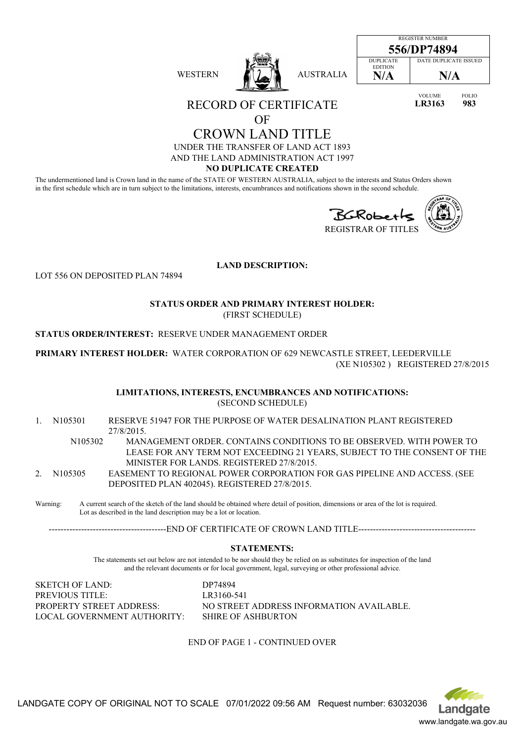| <b>WESTERN</b> | <b>AUSTRALIA</b> |
|----------------|------------------|
|----------------|------------------|

| <b>REGISTER NUMBER</b>             |                              |  |  |
|------------------------------------|------------------------------|--|--|
| 556/DP74894                        |                              |  |  |
| <b>DUPLICATE</b><br><b>EDITION</b> | <b>DATE DUPLICATE ISSUED</b> |  |  |
| N/A                                | N/A                          |  |  |
|                                    |                              |  |  |

VOLUME FOLIO **LR3163 983**

RECORD OF CERTIFICATE

OF

CROWN LAND TITLE UNDER THE TRANSFER OF LAND ACT 1893 AND THE LAND ADMINISTRATION ACT 1997

**NO DUPLICATE CREATED**

The undermentioned land is Crown land in the name of the STATE OF WESTERN AUSTRALIA, subject to the interests and Status Orders shown in the first schedule which are in turn subject to the limitations, interests, encumbrances and notifications shown in the second schedule.



| OA<br>۰ |  |
|---------|--|
|         |  |
|         |  |
|         |  |
|         |  |

REGISTRAR OF TITLES

**LAND DESCRIPTION:**

LOT 556 ON DEPOSITED PLAN 74894

**STATUS ORDER AND PRIMARY INTEREST HOLDER:** (FIRST SCHEDULE)

**STATUS ORDER/INTEREST:** RESERVE UNDER MANAGEMENT ORDER

**PRIMARY INTEREST HOLDER:** WATER CORPORATION OF 629 NEWCASTLE STREET, LEEDERVILLE (XE N105302 ) REGISTERED 27/8/2015

> **LIMITATIONS, INTERESTS, ENCUMBRANCES AND NOTIFICATIONS:** (SECOND SCHEDULE)

- 1. N105301 RESERVE 51947 FOR THE PURPOSE OF WATER DESALINATION PLANT REGISTERED 27/8/2015.
	- N105302 MANAGEMENT ORDER. CONTAINS CONDITIONS TO BE OBSERVED. WITH POWER TO LEASE FOR ANY TERM NOT EXCEEDING 21 YEARS, SUBJECT TO THE CONSENT OF THE MINISTER FOR LANDS. REGISTERED 27/8/2015.
- 2. N105305 EASEMENT TO REGIONAL POWER CORPORATION FOR GAS PIPELINE AND ACCESS. (SEE DEPOSITED PLAN 402045). REGISTERED 27/8/2015.

Warning: A current search of the sketch of the land should be obtained where detail of position, dimensions or area of the lot is required. Lot as described in the land description may be a lot or location.

-------------------END OF CERTIFICATE OF CROWN LAND TITLE-----------------

## **STATEMENTS:**

The statements set out below are not intended to be nor should they be relied on as substitutes for inspection of the land and the relevant documents or for local government, legal, surveying or other professional advice.

SKETCH OF LAND: DP74894 PREVIOUS TITLE: LR3160-541 LOCAL GOVERNMENT AUTHORITY: SHIRE OF ASHBURTON

PROPERTY STREET ADDRESS: NO STREET ADDRESS INFORMATION AVAILABLE.

# END OF PAGE 1 - CONTINUED OVER